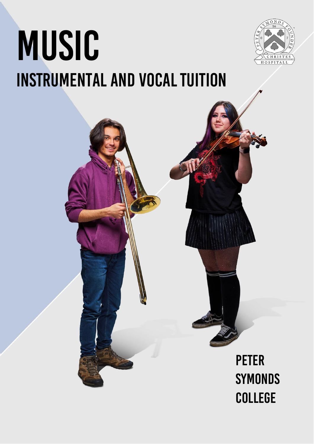# MUSIC **INSTRUMENTAL AND VOCAL TUITION**



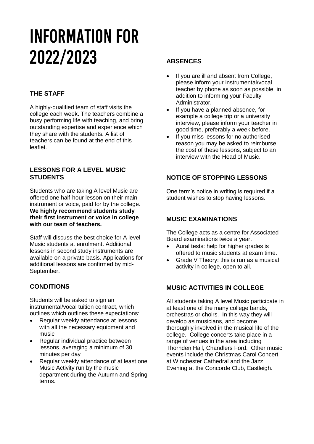# INFORMATION For 2022/2023

# **THE STAFF**

A highly-qualified team of staff visits the college each week. The teachers combine a busy performing life with teaching, and bring outstanding expertise and experience which they share with the students. A list of teachers can be found at the end of this leaflet.

#### **LESSONS FOR A LEVEL MUSIC STUDENTS**

Students who are taking A level Music are offered one half-hour lesson on their main instrument or voice, paid for by the college. **We highly recommend students study their first instrument or voice in college with our team of teachers.** 

Staff will discuss the best choice for A level Music students at enrolment. Additional lessons in second study instruments are available on a private basis. Applications for additional lessons are confirmed by mid-September.

## **CONDITIONS**

Students will be asked to sign an instrumental/vocal tuition contract, which outlines which outlines these expectations:

- Regular weekly attendance at lessons with all the necessary equipment and music
- Regular individual practice between lessons, averaging a minimum of 30 minutes per day
- Regular weekly attendance of at least one Music Activity run by the music department during the Autumn and Spring terms.

### **ABSENCES**

- If you are ill and absent from College, please inform your instrumental/vocal teacher by phone as soon as possible, in addition to informing your Faculty Administrator.
- If you have a planned absence, for example a college trip or a university interview, please inform your teacher in good time, preferably a week before.
- If you miss lessons for no authorised reason you may be asked to reimburse the cost of these lessons, subject to an interview with the Head of Music.

### **NOTICE OF STOPPING LESSONS**

One term's notice in writing is required if a student wishes to stop having lessons.

#### **MUSIC EXAMINATIONS**

The College acts as a centre for Associated Board examinations twice a year.

- Aural tests: help for higher grades is offered to music students at exam time.
- Grade V Theory: this is run as a musical activity in college, open to all.

### **MUSIC ACTIVITIES IN COLLEGE**

All students taking A level Music participate in at least one of the many college bands, orchestras or choirs. In this way they will develop as musicians, and become thoroughly involved in the musical life of the college. College concerts take place in a range of venues in the area including Thornden Hall, Chandlers Ford. Other music events include the Christmas Carol Concert at Winchester Cathedral and the Jazz Evening at the Concorde Club, Eastleigh.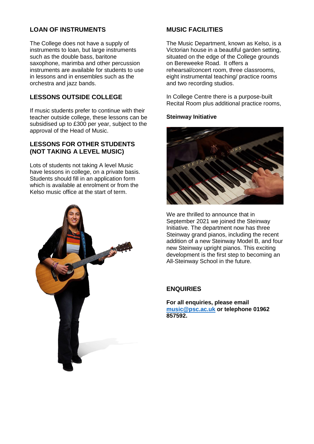#### **LOAN OF INSTRUMENTS**

The College does not have a supply of instruments to loan, but large instruments such as the double bass, baritone saxophone, marimba and other percussion instruments are available for students to use in lessons and in ensembles such as the orchestra and jazz bands.

#### **LESSONS OUTSIDE COLLEGE**

If music students prefer to continue with their teacher outside college, these lessons can be subsidised up to £300 per year, subject to the approval of the Head of Music.

#### **LESSONS FOR OTHER STUDENTS (NOT TAKING A LEVEL MUSIC)**

Lots of students not taking A level Music have lessons in college, on a private basis. Students should fill in an application form which is available at enrolment or from the Kelso music office at the start of term.



#### **MUSIC FACILITIES**

The Music Department, known as Kelso, is a Victorian house in a beautiful garden setting, situated on the edge of the College grounds on Bereweeke Road. It offers a rehearsal/concert room, three classrooms, eight instrumental teaching/ practice rooms and two recording studios.

In College Centre there is a purpose-built Recital Room plus additional practice rooms,

**Steinway Initiative**



We are thrilled to announce that in September 2021 we joined the Steinway Initiative. The department now has three Steinway grand pianos, including the recent addition of a new Steinway Model B, and four new Steinway upright pianos. This exciting development is the first step to becoming an All-Steinway School in the future.

### **ENQUIRIES**

**For all enquiries, please email [music@psc.ac.uk](mailto:music@psc.ac.uk) or telephone 01962 857592.**